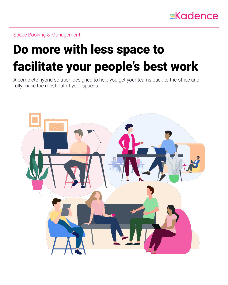

Space Booking & Management

# Do more with less space to facilitate your people's best work

A complete hybrid solution designed to help you get your teams back to the office and fully make the most out of your spaces

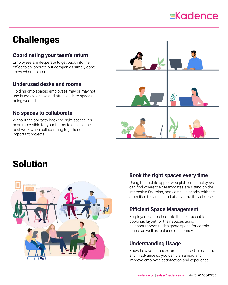## $\equiv$ Kadence

## **Challenges**

## **Coordinating your team's return**

Employees are desperate to get back into the office to collaborate but companies simply don't know where to start.

## **Underused desks and rooms**

Holding onto spaces employees may or may not use is too expensive and often leads to spaces being wasted.

### **No spaces to collaborate**

Without the ability to book the right spaces, it's near impossible for your teams to achieve their best work when collaborating together on important projects.



## Solution



## **Book the right spaces every time**

Using the mobile app or web platform, employees can find where their teammates are sitting on the interactive floorplan, book a space nearby with the amenities they need and at any time they choose.

### **Efficient Space Management**

Employers can orchestrate the best possible bookings layout for their spaces using neighbourhoods to designate space for certain teams as well as balance occupancy.

## **Understanding Usage**

Know how your spaces are being used in real-time and in advance so you can plan ahead and improve employee satisfaction and experience.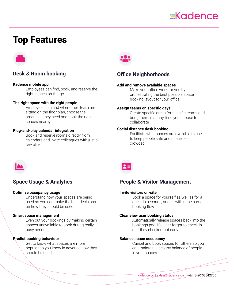## $\equiv$ Kadence

## Top Features



## **Desk & Room booking**

#### **Kadence mobile app**

Employees can find, book, and reserve the right spaces on-the-go

#### **The right space with the right people**

Employees can find where their team are sitting on the floor plan, choose the amenities they need and book the right spaces nearby

#### **Plug-and-play calendar integration**

Book and reserve rooms directly from calendars and invite colleagues with just a few clicks



### **Office Neighborhoods**

#### **Add and remove available spaces**

Make your office work for you by orchestrating the best possible space booking layout for your office

#### **Assign teams on specific days**

Create specific areas for specific teams and bring them in at any time you choose to collaborate

#### **Social distance desk booking**

Facilitate what spaces are available to use to keep people safe and space less crowded



### **Space Usage & Analytics**

#### **Optimize occupancy usage**

Understand how your spaces are being used so you can make the best decisions on how they should be used

#### **Smart space management**

Even out your bookings by making certain spaces unavailable to book during really busy periods

#### **Predict booking behaviour**

Get to know what spaces are more popular so you know in advance how they should be used



### **People & Visitor Management**

#### **Invite visitors on-site**

Book a space for yourself as well as for a guest in seconds, and all within the same booking flow

#### **Clear view user booking status**

Automatically release spaces back into the bookings pool if a user forgot to check-in or if they checked-out early

#### **Balance space occupancy**

Cancel and book spaces for others so you can maintain a healthy balance of people in your spaces